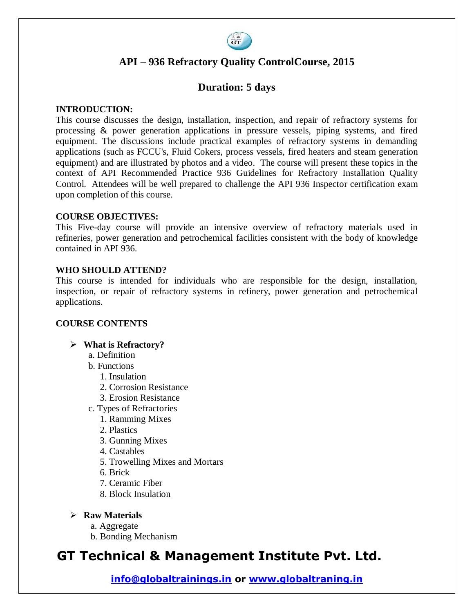

# **API – 936 Refractory Quality ControlCourse, 2015**

## **Duration: 5 days**

#### **INTRODUCTION:**

This course discusses the design, installation, inspection, and repair of refractory systems for processing & power generation applications in pressure vessels, piping systems, and fired equipment. The discussions include practical examples of refractory systems in demanding applications (such as FCCU's, Fluid Cokers, process vessels, fired heaters and steam generation equipment) and are illustrated by photos and a video. The course will present these topics in the context of API Recommended Practice 936 Guidelines for Refractory Installation Quality Control. Attendees will be well prepared to challenge the API 936 Inspector certification exam upon completion of this course.

#### **COURSE OBJECTIVES:**

This Five-day course will provide an intensive overview of refractory materials used in refineries, power generation and petrochemical facilities consistent with the body of knowledge contained in API 936.

#### **WHO SHOULD ATTEND?**

This course is intended for individuals who are responsible for the design, installation, inspection, or repair of refractory systems in refinery, power generation and petrochemical applications.

#### **COURSE CONTENTS**

#### **What is Refractory?**

- a. Definition
- b. Functions
	- 1. Insulation
	- 2. Corrosion Resistance
	- 3. Erosion Resistance
- c. Types of Refractories
	- 1. Ramming Mixes
	- 2. Plastics
	- 3. Gunning Mixes
	- 4. Castables
	- 5. Trowelling Mixes and Mortars
	- 6. Brick
	- 7. Ceramic Fiber
	- 8. Block Insulation
- **Raw Materials**
	- a. Aggregate
	- b. Bonding Mechanism

# **GT Technical & Management Institute Pvt. Ltd.**

**info@globaltrainings.in or www.globaltraning.in**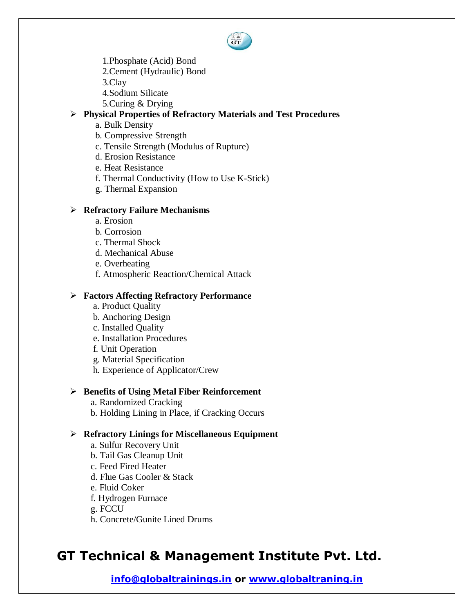- 
- 1.Phosphate (Acid) Bond
- 2.Cement (Hydraulic) Bond

3.Clay

- 4.Sodium Silicate
- 5.Curing & Drying

#### **Physical Properties of Refractory Materials and Test Procedures**

- a. Bulk Density
- b. Compressive Strength
- c. Tensile Strength (Modulus of Rupture)
- d. Erosion Resistance
- e. Heat Resistance
- f. Thermal Conductivity (How to Use K-Stick)
- g. Thermal Expansion

#### **Refractory Failure Mechanisms**

- a. Erosion
- b. Corrosion
- c. Thermal Shock
- d. Mechanical Abuse
- e. Overheating
- f. Atmospheric Reaction/Chemical Attack

#### **Factors Affecting Refractory Performance**

- a. Product Quality
- b. Anchoring Design
- c. Installed Quality
- e. Installation Procedures
- f. Unit Operation
- g. Material Specification
- h. Experience of Applicator/Crew

#### **Benefits of Using Metal Fiber Reinforcement**

- a. Randomized Cracking
- b. Holding Lining in Place, if Cracking Occurs

## **Refractory Linings for Miscellaneous Equipment**

- a. Sulfur Recovery Unit
- b. Tail Gas Cleanup Unit
- c. Feed Fired Heater
- d. Flue Gas Cooler & Stack
- e. Fluid Coker
- f. Hydrogen Furnace

#### g. FCCU

h. Concrete/Gunite Lined Drums

# **GT Technical & Management Institute Pvt. Ltd.**

**info@globaltrainings.in or www.globaltraning.in**